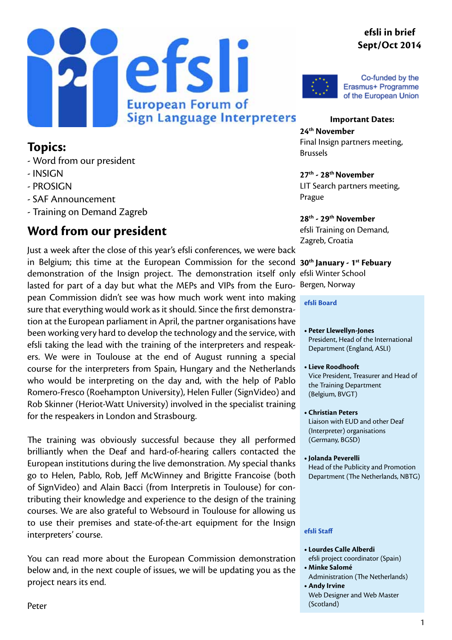#### **efsli in brief Sept/Oct 2014**





Co-funded by the Erasmus+ Programme of the European Union

#### **Topics:**

- Word from our president
- INSIGN
- PROSIGN
- SAF Announcement
- Training on Demand Zagreb

#### **Word from our president**

in Belgium; this time at the European Commission for the second 30<sup>th</sup> January - 1<sup>st</sup> Febuary demonstration of the Insign project. The demonstration itself only efsli Winter School lasted for part of a day but what the MEPs and VIPs from the Euro- Bergen, Norway Just a week after the close of this year's efsli conferences, we were back pean Commission didn't see was how much work went into making sure that everything would work as it should. Since the first demonstration at the European parliament in April, the partner organisations have been working very hard to develop the technology and the service, with efsli taking the lead with the training of the interpreters and respeakers. We were in Toulouse at the end of August running a special course for the interpreters from Spain, Hungary and the Netherlands who would be interpreting on the day and, with the help of Pablo Romero-Fresco (Roehampton University), Helen Fuller (SignVideo) and Rob Skinner (Heriot-Watt University) involved in the specialist training for the respeakers in London and Strasbourg.

The training was obviously successful because they all performed brilliantly when the Deaf and hard-of-hearing callers contacted the European institutions during the live demonstration. My special thanks go to Helen, Pablo, Rob, Jeff McWinney and Brigitte Francoise (both of SignVideo) and Alain Bacci (from Interpretis in Toulouse) for contributing their knowledge and experience to the design of the training courses. We are also grateful to Websourd in Toulouse for allowing us to use their premises and state-of-the-art equipment for the Insign interpreters' course.

You can read more about the European Commission demonstration below and, in the next couple of issues, we will be updating you as the project nears its end.

**Important Dates: 24th November** Final Insign partners meeting, Brussels

**27th - 28th November** LIT Search partners meeting, Prague

**28th - 29th November** efsli Training on Demand, Zagreb, Croatia

#### **efsli Board**

- **• Peter Llewellyn-Jones** President, Head of the International Department (England, ASLI)
- **• Lieve Roodhooft** Vice President, Treasurer and Head of the Training Department (Belgium, BVGT)
- **• Christian Peters**  Liaison with EUD and other Deaf (Interpreter) organisations (Germany, BGSD)
- **• Jolanda Peverelli** Head of the Publicity and Promotion Department (The Netherlands, NBTG)

#### **efsli Staff**

- **• Lourdes Calle Alberdi**
- efsli project coordinator (Spain) **• Minke Salomé**
- Administration (The Netherlands) **• Andy Irvine**
- Web Designer and Web Master (Scotland)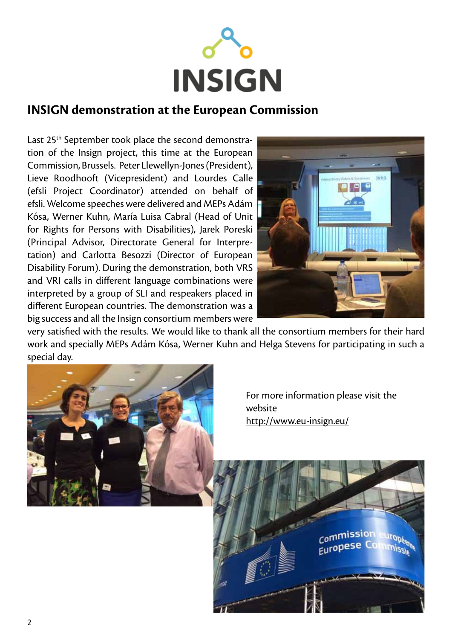

#### **INSIGN demonstration at the European Commission**

Last 25<sup>th</sup> September took place the second demonstration of the Insign project, this time at the European Commission, Brussels. Peter Llewellyn-Jones (President), Lieve Roodhooft (Vicepresident) and Lourdes Calle (efsli Project Coordinator) attended on behalf of efsli. Welcome speeches were delivered and MEPs Adám Kósa, Werner Kuhn, María Luisa Cabral (Head of Unit for Rights for Persons with Disabilities), Jarek Poreski (Principal Advisor, Directorate General for Interpretation) and Carlotta Besozzi (Director of European Disability Forum). During the demonstration, both VRS and VRI calls in different language combinations were interpreted by a group of SLI and respeakers placed in different European countries. The demonstration was a big success and all the Insign consortium members were



very satisfied with the results. We would like to thank all the consortium members for their hard work and specially MEPs Adám Kósa, Werner Kuhn and Helga Stevens for participating in such a special day.



 For more information please visit the website [http://www.eu-insign.eu/](http://www.eu-insign.eu/ )

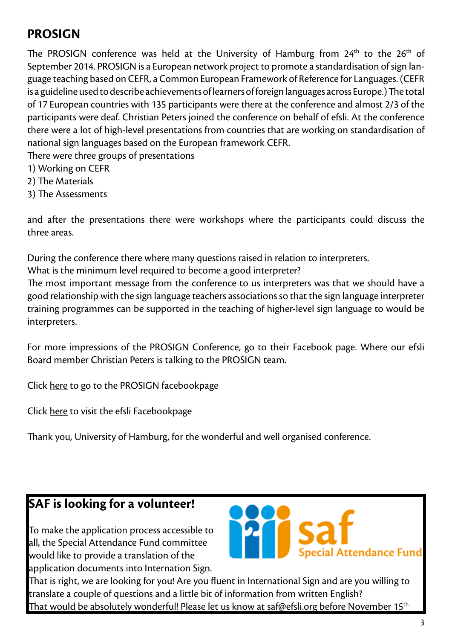## **PROSIGN**

The PROSIGN conference was held at the University of Hamburg from  $24<sup>th</sup>$  to the  $26<sup>th</sup>$  of September 2014. PROSIGN is a European network project to promote a standardisation of sign language teaching based on CEFR, a Common European Framework of Reference for Languages. (CEFR is a guideline used to describe achievements of learners of foreign languages across Europe.) The total of 17 European countries with 135 participants were there at the conference and almost 2/3 of the participants were deaf. Christian Peters joined the conference on behalf of efsli. At the conference there were a lot of high-level presentations from countries that are working on standardisation of national sign languages based on the European framework CEFR.

- There were three groups of presentations
- 1) Working on CEFR
- 2) The Materials
- 3) The Assessments

and after the presentations there were workshops where the participants could discuss the three areas.

During the conference there where many questions raised in relation to interpreters.

What is the minimum level required to become a good interpreter?

The most important message from the conference to us interpreters was that we should have a good relationship with the sign language teachers associations so that the sign language interpreter training programmes can be supported in the teaching of higher-level sign language to would be interpreters.

For more impressions of the PROSIGN Conference, go to their Facebook page. Where our efsli Board member Christian Peters is talking to the PROSIGN team.

Click [here](http://) to go to the PROSIGN facebookpage

Click [here](https://www.facebook.com/pages/European-Forum-of-Sign-Language-Interpreters-efsli/234671993218455?ref=hl) to visit the efsli Facebookpage

Thank you, University of Hamburg, for the wonderful and well organised conference.

### **SAF is looking for a volunteer!**

To make the application process accessible to all, the Special Attendance Fund committee would like to provide a translation of the application documents into Internation Sign.



That is right, we are looking for you! Are you fluent in International Sign and are you willing to translate a couple of questions and a little bit of information from written English? That would be absolutely wonderful! Please let us know at [saf@efsli.org](mailto:saf@efsli.org) before November 15th.